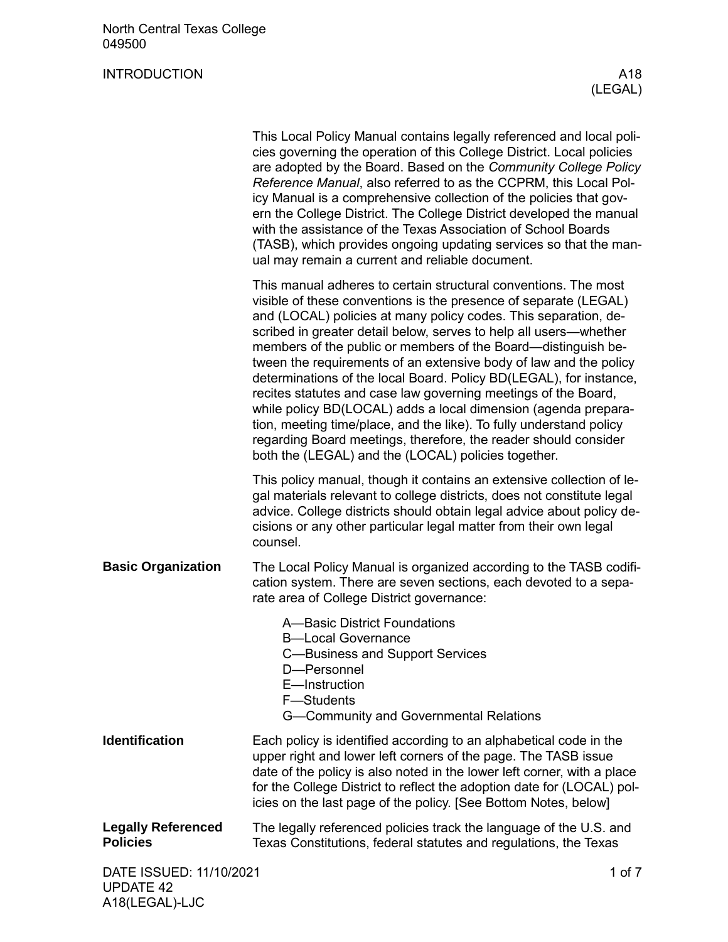A18(LEGAL)-LJC

|                                              | This Local Policy Manual contains legally referenced and local poli-<br>cies governing the operation of this College District. Local policies<br>are adopted by the Board. Based on the Community College Policy<br>Reference Manual, also referred to as the CCPRM, this Local Pol-<br>icy Manual is a comprehensive collection of the policies that gov-<br>ern the College District. The College District developed the manual<br>with the assistance of the Texas Association of School Boards<br>(TASB), which provides ongoing updating services so that the man-<br>ual may remain a current and reliable document.                                                                                                                                                                                                   |  |
|----------------------------------------------|------------------------------------------------------------------------------------------------------------------------------------------------------------------------------------------------------------------------------------------------------------------------------------------------------------------------------------------------------------------------------------------------------------------------------------------------------------------------------------------------------------------------------------------------------------------------------------------------------------------------------------------------------------------------------------------------------------------------------------------------------------------------------------------------------------------------------|--|
|                                              | This manual adheres to certain structural conventions. The most<br>visible of these conventions is the presence of separate (LEGAL)<br>and (LOCAL) policies at many policy codes. This separation, de-<br>scribed in greater detail below, serves to help all users-whether<br>members of the public or members of the Board—distinguish be-<br>tween the requirements of an extensive body of law and the policy<br>determinations of the local Board. Policy BD(LEGAL), for instance,<br>recites statutes and case law governing meetings of the Board,<br>while policy BD(LOCAL) adds a local dimension (agenda prepara-<br>tion, meeting time/place, and the like). To fully understand policy<br>regarding Board meetings, therefore, the reader should consider<br>both the (LEGAL) and the (LOCAL) policies together. |  |
|                                              | This policy manual, though it contains an extensive collection of le-<br>gal materials relevant to college districts, does not constitute legal<br>advice. College districts should obtain legal advice about policy de-<br>cisions or any other particular legal matter from their own legal<br>counsel.                                                                                                                                                                                                                                                                                                                                                                                                                                                                                                                    |  |
| <b>Basic Organization</b>                    | The Local Policy Manual is organized according to the TASB codifi-<br>cation system. There are seven sections, each devoted to a sepa-<br>rate area of College District governance:                                                                                                                                                                                                                                                                                                                                                                                                                                                                                                                                                                                                                                          |  |
|                                              | A-Basic District Foundations<br><b>B-Local Governance</b><br>C-Business and Support Services<br>D-Personnel<br>E-Instruction<br>F-Students<br>G-Community and Governmental Relations                                                                                                                                                                                                                                                                                                                                                                                                                                                                                                                                                                                                                                         |  |
| <b>Identification</b>                        | Each policy is identified according to an alphabetical code in the<br>upper right and lower left corners of the page. The TASB issue<br>date of the policy is also noted in the lower left corner, with a place<br>for the College District to reflect the adoption date for (LOCAL) pol-<br>icies on the last page of the policy. [See Bottom Notes, below]                                                                                                                                                                                                                                                                                                                                                                                                                                                                 |  |
| <b>Legally Referenced</b><br><b>Policies</b> | The legally referenced policies track the language of the U.S. and<br>Texas Constitutions, federal statutes and regulations, the Texas                                                                                                                                                                                                                                                                                                                                                                                                                                                                                                                                                                                                                                                                                       |  |
| DATE ISSUED: 11/10/2021<br><b>UPDATE 42</b>  | 1 of 7                                                                                                                                                                                                                                                                                                                                                                                                                                                                                                                                                                                                                                                                                                                                                                                                                       |  |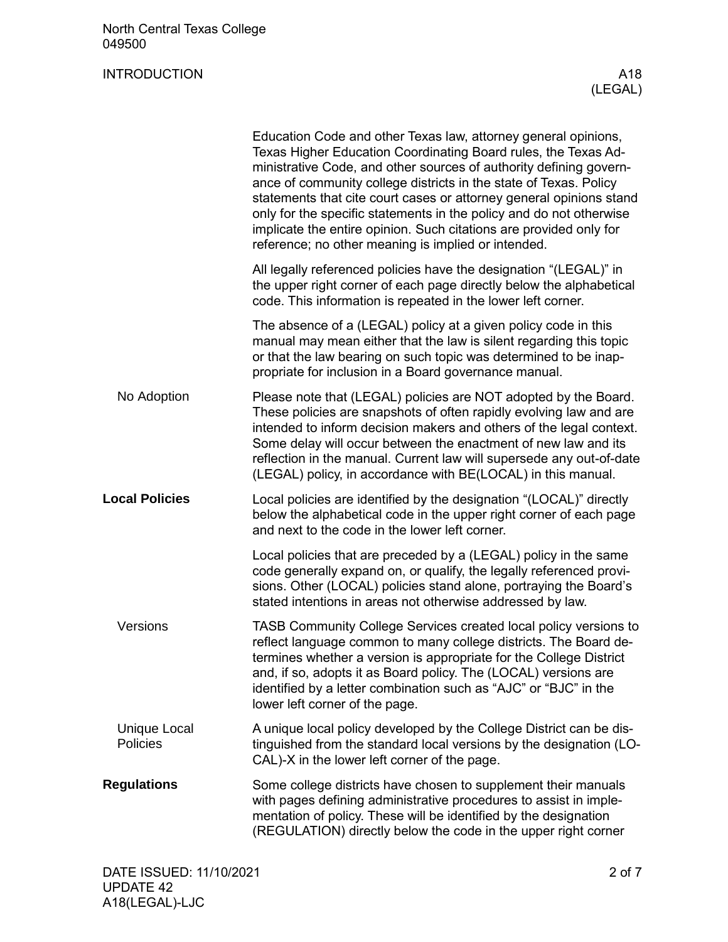|                                 | Education Code and other Texas law, attorney general opinions,<br>Texas Higher Education Coordinating Board rules, the Texas Ad-<br>ministrative Code, and other sources of authority defining govern-<br>ance of community college districts in the state of Texas. Policy<br>statements that cite court cases or attorney general opinions stand<br>only for the specific statements in the policy and do not otherwise<br>implicate the entire opinion. Such citations are provided only for<br>reference; no other meaning is implied or intended. |
|---------------------------------|--------------------------------------------------------------------------------------------------------------------------------------------------------------------------------------------------------------------------------------------------------------------------------------------------------------------------------------------------------------------------------------------------------------------------------------------------------------------------------------------------------------------------------------------------------|
|                                 | All legally referenced policies have the designation "(LEGAL)" in<br>the upper right corner of each page directly below the alphabetical<br>code. This information is repeated in the lower left corner.                                                                                                                                                                                                                                                                                                                                               |
|                                 | The absence of a (LEGAL) policy at a given policy code in this<br>manual may mean either that the law is silent regarding this topic<br>or that the law bearing on such topic was determined to be inap-<br>propriate for inclusion in a Board governance manual.                                                                                                                                                                                                                                                                                      |
| No Adoption                     | Please note that (LEGAL) policies are NOT adopted by the Board.<br>These policies are snapshots of often rapidly evolving law and are<br>intended to inform decision makers and others of the legal context.<br>Some delay will occur between the enactment of new law and its<br>reflection in the manual. Current law will supersede any out-of-date<br>(LEGAL) policy, in accordance with BE(LOCAL) in this manual.                                                                                                                                 |
| <b>Local Policies</b>           | Local policies are identified by the designation "(LOCAL)" directly<br>below the alphabetical code in the upper right corner of each page<br>and next to the code in the lower left corner.                                                                                                                                                                                                                                                                                                                                                            |
|                                 | Local policies that are preceded by a (LEGAL) policy in the same<br>code generally expand on, or qualify, the legally referenced provi-<br>sions. Other (LOCAL) policies stand alone, portraying the Board's<br>stated intentions in areas not otherwise addressed by law.                                                                                                                                                                                                                                                                             |
| Versions                        |                                                                                                                                                                                                                                                                                                                                                                                                                                                                                                                                                        |
|                                 | TASB Community College Services created local policy versions to<br>reflect language common to many college districts. The Board de-<br>termines whether a version is appropriate for the College District<br>and, if so, adopts it as Board policy. The (LOCAL) versions are<br>identified by a letter combination such as "AJC" or "BJC" in the<br>lower left corner of the page.                                                                                                                                                                    |
| <b>Unique Local</b><br>Policies | A unique local policy developed by the College District can be dis-<br>tinguished from the standard local versions by the designation (LO-<br>CAL)-X in the lower left corner of the page.                                                                                                                                                                                                                                                                                                                                                             |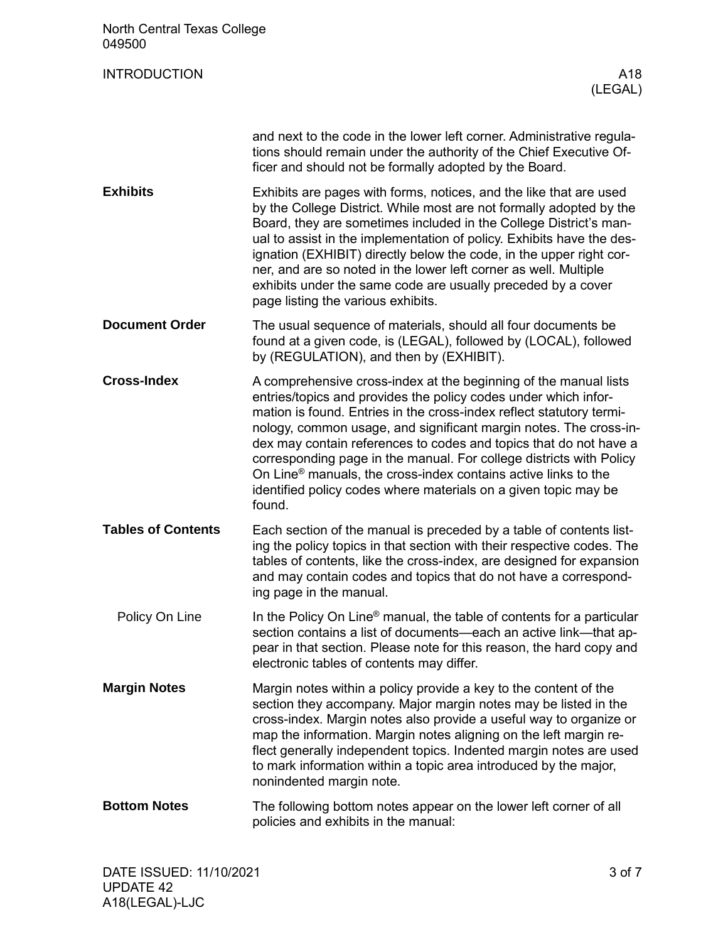| North Central Texas College<br>049500 |                                                                                                                                                                                                                                                                                                                                                                                                                                                                                                                                                                                         |
|---------------------------------------|-----------------------------------------------------------------------------------------------------------------------------------------------------------------------------------------------------------------------------------------------------------------------------------------------------------------------------------------------------------------------------------------------------------------------------------------------------------------------------------------------------------------------------------------------------------------------------------------|
| <b>INTRODUCTION</b>                   | A <sub>18</sub><br>(LEGAL)                                                                                                                                                                                                                                                                                                                                                                                                                                                                                                                                                              |
|                                       | and next to the code in the lower left corner. Administrative regula-<br>tions should remain under the authority of the Chief Executive Of-<br>ficer and should not be formally adopted by the Board.                                                                                                                                                                                                                                                                                                                                                                                   |
| <b>Exhibits</b>                       | Exhibits are pages with forms, notices, and the like that are used<br>by the College District. While most are not formally adopted by the<br>Board, they are sometimes included in the College District's man-<br>ual to assist in the implementation of policy. Exhibits have the des-<br>ignation (EXHIBIT) directly below the code, in the upper right cor-<br>ner, and are so noted in the lower left corner as well. Multiple<br>exhibits under the same code are usually preceded by a cover<br>page listing the various exhibits.                                                |
| <b>Document Order</b>                 | The usual sequence of materials, should all four documents be<br>found at a given code, is (LEGAL), followed by (LOCAL), followed<br>by (REGULATION), and then by (EXHIBIT).                                                                                                                                                                                                                                                                                                                                                                                                            |
| <b>Cross-Index</b>                    | A comprehensive cross-index at the beginning of the manual lists<br>entries/topics and provides the policy codes under which infor-<br>mation is found. Entries in the cross-index reflect statutory termi-<br>nology, common usage, and significant margin notes. The cross-in-<br>dex may contain references to codes and topics that do not have a<br>corresponding page in the manual. For college districts with Policy<br>On Line <sup>®</sup> manuals, the cross-index contains active links to the<br>identified policy codes where materials on a given topic may be<br>found. |
| <b>Tables of Contents</b>             | Each section of the manual is preceded by a table of contents list-<br>ing the policy topics in that section with their respective codes. The<br>tables of contents, like the cross-index, are designed for expansion<br>and may contain codes and topics that do not have a correspond-<br>ing page in the manual.                                                                                                                                                                                                                                                                     |
| Policy On Line                        | In the Policy On Line <sup>®</sup> manual, the table of contents for a particular<br>section contains a list of documents-each an active link-that ap-<br>pear in that section. Please note for this reason, the hard copy and<br>electronic tables of contents may differ.                                                                                                                                                                                                                                                                                                             |
| <b>Margin Notes</b>                   | Margin notes within a policy provide a key to the content of the<br>section they accompany. Major margin notes may be listed in the<br>cross-index. Margin notes also provide a useful way to organize or<br>map the information. Margin notes aligning on the left margin re-<br>flect generally independent topics. Indented margin notes are used<br>to mark information within a topic area introduced by the major,<br>nonindented margin note.                                                                                                                                    |
| <b>Bottom Notes</b>                   | The following bottom notes appear on the lower left corner of all<br>policies and exhibits in the manual:                                                                                                                                                                                                                                                                                                                                                                                                                                                                               |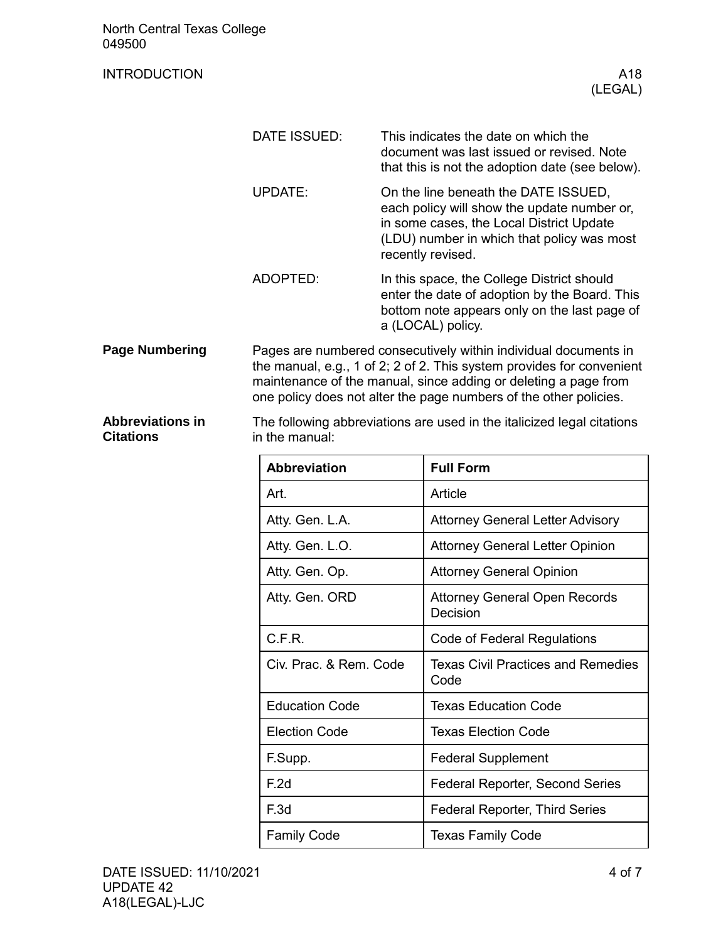|        |  | North Central Texas College |
|--------|--|-----------------------------|
| 049500 |  |                             |

| <b>NUITH CENTRAL TEXAS CONEGE</b><br>049500 |                                                                                                                                                                                                                                                                                  |  |                                                                                                                                                                                                    |
|---------------------------------------------|----------------------------------------------------------------------------------------------------------------------------------------------------------------------------------------------------------------------------------------------------------------------------------|--|----------------------------------------------------------------------------------------------------------------------------------------------------------------------------------------------------|
| <b>INTRODUCTION</b>                         |                                                                                                                                                                                                                                                                                  |  | A18<br>(LEGAL)                                                                                                                                                                                     |
|                                             |                                                                                                                                                                                                                                                                                  |  |                                                                                                                                                                                                    |
|                                             | DATE ISSUED:                                                                                                                                                                                                                                                                     |  | This indicates the date on which the<br>document was last issued or revised. Note<br>that this is not the adoption date (see below).                                                               |
|                                             | <b>UPDATE:</b>                                                                                                                                                                                                                                                                   |  | On the line beneath the DATE ISSUED,<br>each policy will show the update number or,<br>in some cases, the Local District Update<br>(LDU) number in which that policy was most<br>recently revised. |
|                                             | ADOPTED:                                                                                                                                                                                                                                                                         |  | In this space, the College District should<br>enter the date of adoption by the Board. This<br>bottom note appears only on the last page of<br>a (LOCAL) policy.                                   |
| <b>Page Numbering</b>                       | Pages are numbered consecutively within individual documents in<br>the manual, e.g., 1 of 2; 2 of 2. This system provides for convenient<br>maintenance of the manual, since adding or deleting a page from<br>one policy does not alter the page numbers of the other policies. |  |                                                                                                                                                                                                    |
| <b>Abbreviations in</b><br><b>Citations</b> | The following abbreviations are used in the italicized legal citations<br>in the manual:                                                                                                                                                                                         |  |                                                                                                                                                                                                    |
|                                             | <b>Abbreviation</b>                                                                                                                                                                                                                                                              |  | <b>Full Form</b>                                                                                                                                                                                   |
|                                             | Art.                                                                                                                                                                                                                                                                             |  | Article                                                                                                                                                                                            |
|                                             | Atty. Gen. L.A.                                                                                                                                                                                                                                                                  |  | <b>Attorney General Letter Advisory</b>                                                                                                                                                            |
|                                             | Atty. Gen. L.O.                                                                                                                                                                                                                                                                  |  | <b>Attorney General Letter Opinion</b>                                                                                                                                                             |
|                                             | Atty. Gen. Op.                                                                                                                                                                                                                                                                   |  | <b>Attorney General Opinion</b>                                                                                                                                                                    |
|                                             | Atty. Gen. ORD                                                                                                                                                                                                                                                                   |  | <b>Attorney General Open Records</b><br>Decision                                                                                                                                                   |
|                                             | C.F.R.                                                                                                                                                                                                                                                                           |  | Code of Federal Regulations                                                                                                                                                                        |
|                                             | Civ. Prac. & Rem. Code                                                                                                                                                                                                                                                           |  | <b>Texas Civil Practices and Remedies</b><br>Code                                                                                                                                                  |
|                                             | <b>Education Code</b>                                                                                                                                                                                                                                                            |  | <b>Texas Education Code</b>                                                                                                                                                                        |
|                                             | <b>Election Code</b>                                                                                                                                                                                                                                                             |  | <b>Texas Election Code</b>                                                                                                                                                                         |
|                                             | F.Supp.                                                                                                                                                                                                                                                                          |  | <b>Federal Supplement</b>                                                                                                                                                                          |
|                                             | F.2d                                                                                                                                                                                                                                                                             |  | Federal Reporter, Second Series                                                                                                                                                                    |
|                                             | F.3d                                                                                                                                                                                                                                                                             |  | Federal Reporter, Third Series                                                                                                                                                                     |

Family Code **Texas Family Code**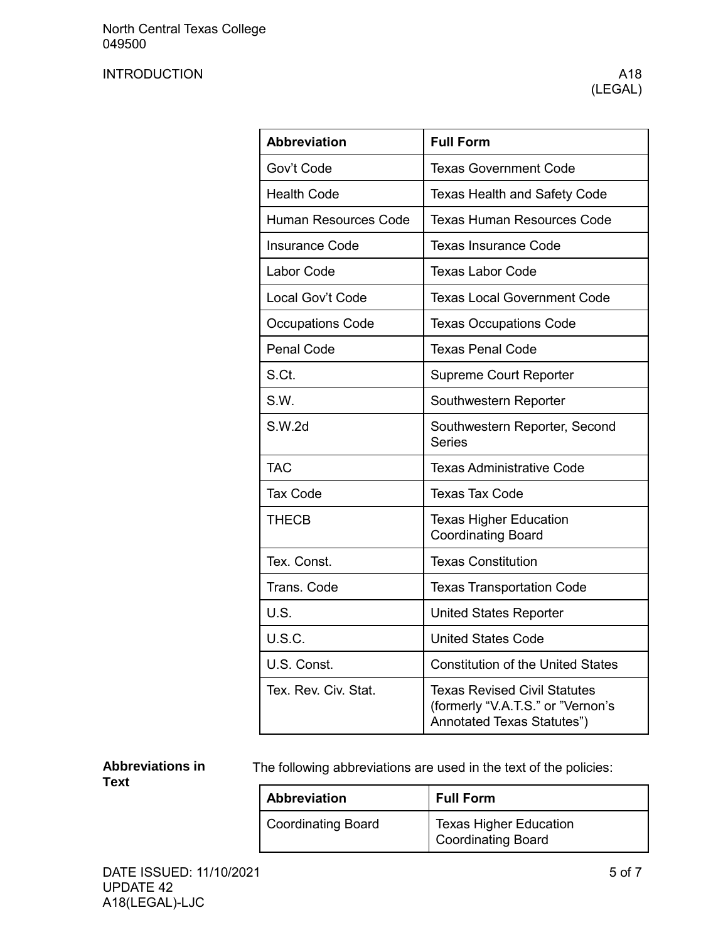| <b>Abbreviation</b>         | <b>Full Form</b>                                                                                       |
|-----------------------------|--------------------------------------------------------------------------------------------------------|
| Gov't Code                  | <b>Texas Government Code</b>                                                                           |
| <b>Health Code</b>          | <b>Texas Health and Safety Code</b>                                                                    |
| <b>Human Resources Code</b> | <b>Texas Human Resources Code</b>                                                                      |
| <b>Insurance Code</b>       | <b>Texas Insurance Code</b>                                                                            |
| Labor Code                  | <b>Texas Labor Code</b>                                                                                |
| Local Gov't Code            | <b>Texas Local Government Code</b>                                                                     |
| <b>Occupations Code</b>     | <b>Texas Occupations Code</b>                                                                          |
| <b>Penal Code</b>           | <b>Texas Penal Code</b>                                                                                |
| S.Ct.                       | <b>Supreme Court Reporter</b>                                                                          |
| S.W.                        | Southwestern Reporter                                                                                  |
| S.W.2d                      | Southwestern Reporter, Second<br><b>Series</b>                                                         |
| <b>TAC</b>                  | <b>Texas Administrative Code</b>                                                                       |
| <b>Tax Code</b>             | <b>Texas Tax Code</b>                                                                                  |
| <b>THECB</b>                | <b>Texas Higher Education</b><br><b>Coordinating Board</b>                                             |
| Tex. Const.                 | <b>Texas Constitution</b>                                                                              |
| Trans. Code                 | <b>Texas Transportation Code</b>                                                                       |
| U.S.                        | <b>United States Reporter</b>                                                                          |
| U.S.C.                      | <b>United States Code</b>                                                                              |
| U.S. Const.                 | <b>Constitution of the United States</b>                                                               |
| Tex. Rev. Civ. Stat.        | <b>Texas Revised Civil Statutes</b><br>(formerly "V.A.T.S." or "Vernon's<br>Annotated Texas Statutes") |

### **Abbreviations in Text**

The following abbreviations are used in the text of the policies:

| <b>Abbreviation</b>       | <b>Full Form</b>                                           |
|---------------------------|------------------------------------------------------------|
| <b>Coordinating Board</b> | <b>Texas Higher Education</b><br><b>Coordinating Board</b> |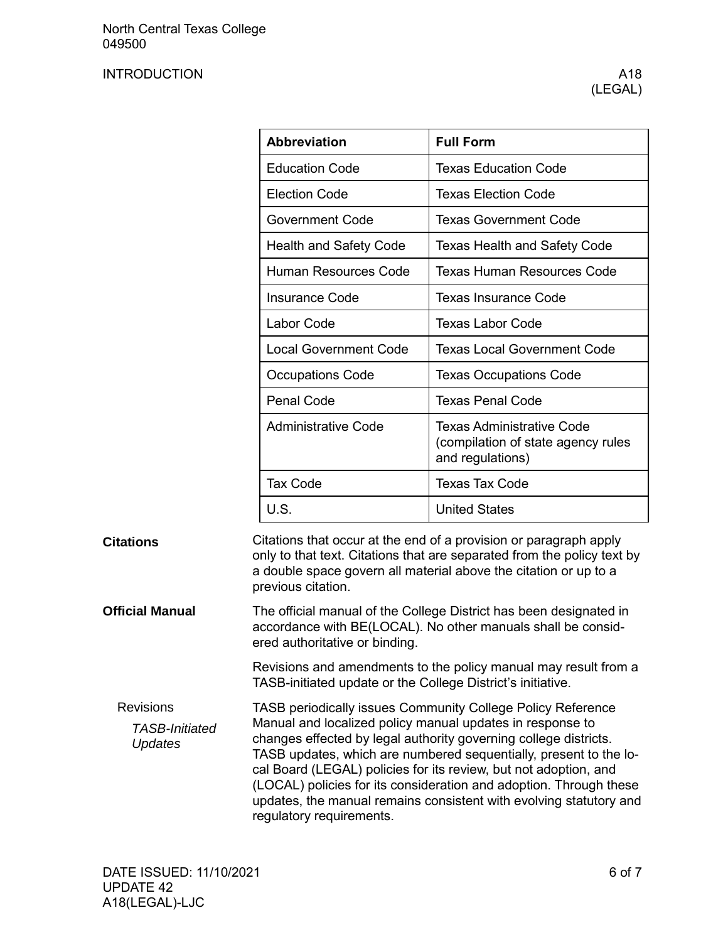|                                                             | <b>Abbreviation</b>                                                                                                                                                                                                                                                                                                                   | <b>Full Form</b>                                                                                                                                                                                                 |  |
|-------------------------------------------------------------|---------------------------------------------------------------------------------------------------------------------------------------------------------------------------------------------------------------------------------------------------------------------------------------------------------------------------------------|------------------------------------------------------------------------------------------------------------------------------------------------------------------------------------------------------------------|--|
|                                                             | <b>Education Code</b>                                                                                                                                                                                                                                                                                                                 | <b>Texas Education Code</b>                                                                                                                                                                                      |  |
|                                                             | <b>Election Code</b>                                                                                                                                                                                                                                                                                                                  | <b>Texas Election Code</b>                                                                                                                                                                                       |  |
|                                                             | <b>Government Code</b>                                                                                                                                                                                                                                                                                                                | <b>Texas Government Code</b>                                                                                                                                                                                     |  |
|                                                             | <b>Health and Safety Code</b>                                                                                                                                                                                                                                                                                                         | <b>Texas Health and Safety Code</b>                                                                                                                                                                              |  |
|                                                             | <b>Human Resources Code</b>                                                                                                                                                                                                                                                                                                           | <b>Texas Human Resources Code</b>                                                                                                                                                                                |  |
|                                                             | <b>Insurance Code</b>                                                                                                                                                                                                                                                                                                                 | <b>Texas Insurance Code</b>                                                                                                                                                                                      |  |
|                                                             | Labor Code                                                                                                                                                                                                                                                                                                                            | <b>Texas Labor Code</b>                                                                                                                                                                                          |  |
|                                                             | <b>Local Government Code</b>                                                                                                                                                                                                                                                                                                          | <b>Texas Local Government Code</b>                                                                                                                                                                               |  |
|                                                             | <b>Occupations Code</b>                                                                                                                                                                                                                                                                                                               | <b>Texas Occupations Code</b>                                                                                                                                                                                    |  |
|                                                             | <b>Penal Code</b>                                                                                                                                                                                                                                                                                                                     | <b>Texas Penal Code</b>                                                                                                                                                                                          |  |
|                                                             | <b>Administrative Code</b>                                                                                                                                                                                                                                                                                                            | <b>Texas Administrative Code</b><br>(compilation of state agency rules<br>and regulations)                                                                                                                       |  |
|                                                             | <b>Tax Code</b>                                                                                                                                                                                                                                                                                                                       | <b>Texas Tax Code</b>                                                                                                                                                                                            |  |
|                                                             | U.S.                                                                                                                                                                                                                                                                                                                                  | <b>United States</b>                                                                                                                                                                                             |  |
| <b>Citations</b>                                            | previous citation.                                                                                                                                                                                                                                                                                                                    | Citations that occur at the end of a provision or paragraph apply<br>only to that text. Citations that are separated from the policy text by<br>a double space govern all material above the citation or up to a |  |
| <b>Official Manual</b>                                      | The official manual of the College District has been designated in<br>accordance with BE(LOCAL). No other manuals shall be consid-<br>ered authoritative or binding.                                                                                                                                                                  |                                                                                                                                                                                                                  |  |
|                                                             | Revisions and amendments to the policy manual may result from a<br>TASB-initiated update or the College District's initiative.                                                                                                                                                                                                        |                                                                                                                                                                                                                  |  |
| <b>Revisions</b><br><b>TASB-Initiated</b><br><b>Updates</b> | TASB periodically issues Community College Policy Reference<br>Manual and localized policy manual updates in response to<br>changes effected by legal authority governing college districts.<br>TASB updates, which are numbered sequentially, present to the lo-<br>cal Board (LEGAL) policies for its review, but not adoption, and |                                                                                                                                                                                                                  |  |

cal Board (LEGAL) policies for its review, but not adoption, and (LOCAL) policies for its consideration and adoption. Through these updates, the manual remains consistent with evolving statutory and regulatory requirements.